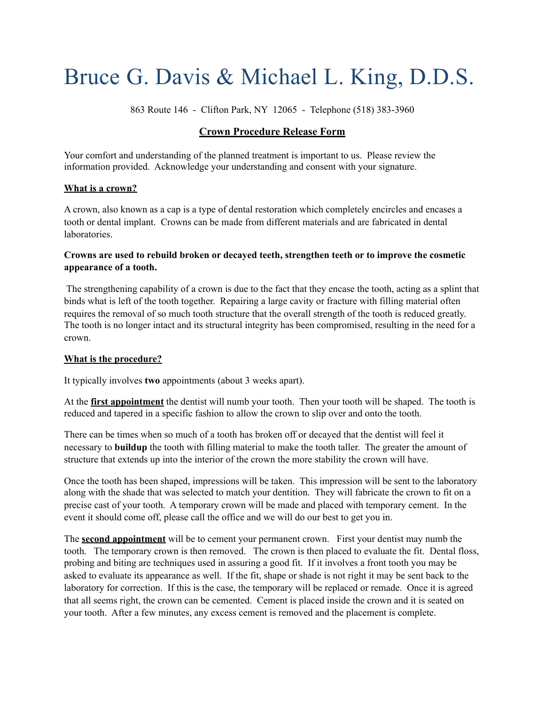# Bruce G. Davis & Michael L. King, D.D.S.

863 Route 146 - Clifton Park, NY 12065 - Telephone (518) 383-3960

### **Crown Procedure Release Form**

Your comfort and understanding of the planned treatment is important to us. Please review the information provided. Acknowledge your understanding and consent with your signature.

#### **What is a crown?**

A crown, also known as a cap is a type of dental restoration which completely encircles and encases a tooth or dental implant. Crowns can be made from different materials and are fabricated in dental laboratories.

#### **Crowns are used to rebuild broken or decayed teeth, strengthen teeth or to improve the cosmetic appearance of a tooth.**

 The strengthening capability of a crown is due to the fact that they encase the tooth, acting as a splint that binds what is left of the tooth together. Repairing a large cavity or fracture with filling material often requires the removal of so much tooth structure that the overall strength of the tooth is reduced greatly. The tooth is no longer intact and its structural integrity has been compromised, resulting in the need for a crown.

#### **What is the procedure?**

It typically involves **two** appointments (about 3 weeks apart).

At the **first appointment** the dentist will numb your tooth. Then your tooth will be shaped. The tooth is reduced and tapered in a specific fashion to allow the crown to slip over and onto the tooth.

There can be times when so much of a tooth has broken off or decayed that the dentist will feel it necessary to **buildup** the tooth with filling material to make the tooth taller. The greater the amount of structure that extends up into the interior of the crown the more stability the crown will have.

Once the tooth has been shaped, impressions will be taken. This impression will be sent to the laboratory along with the shade that was selected to match your dentition. They will fabricate the crown to fit on a precise cast of your tooth. A temporary crown will be made and placed with temporary cement. In the event it should come off, please call the office and we will do our best to get you in.

The **second appointment** will be to cement your permanent crown. First your dentist may numb the tooth. The temporary crown is then removed. The crown is then placed to evaluate the fit. Dental floss, probing and biting are techniques used in assuring a good fit. If it involves a front tooth you may be asked to evaluate its appearance as well. If the fit, shape or shade is not right it may be sent back to the laboratory for correction. If this is the case, the temporary will be replaced or remade. Once it is agreed that all seems right, the crown can be cemented. Cement is placed inside the crown and it is seated on your tooth. After a few minutes, any excess cement is removed and the placement is complete.